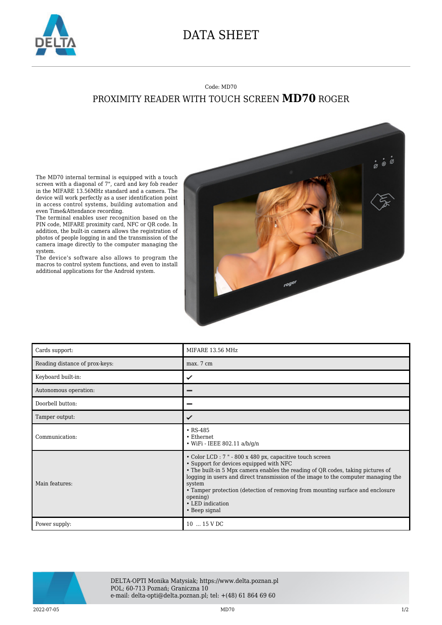

## DATA SHEET

## Code: MD70 PROXIMITY READER WITH TOUCH SCREEN **MD70** ROGER

The MD70 internal terminal is equipped with a touch screen with a diagonal of 7", card and key fob reader in the MIFARE 13.56MHz standard and a camera. The device will work perfectly as a user identification point in access control systems, building automation and even Time&Attendance recording.

The terminal enables user recognition based on the PIN code, MIFARE proximity card, NFC or QR code. In addition, the built-in camera allows the registration of photos of people logging in and the transmission of the camera image directly to the computer managing the system.

The device's software also allows to program the macros to control system functions, and even to install additional applications for the Android system.



| Cards support:                 | MIFARE 13.56 MHz                                                                                                                                                                                                                                                                                                                                                                                                           |
|--------------------------------|----------------------------------------------------------------------------------------------------------------------------------------------------------------------------------------------------------------------------------------------------------------------------------------------------------------------------------------------------------------------------------------------------------------------------|
| Reading distance of prox-keys: | max. 7 cm                                                                                                                                                                                                                                                                                                                                                                                                                  |
| Keyboard built-in:             | ✓                                                                                                                                                                                                                                                                                                                                                                                                                          |
| Autonomous operation:          |                                                                                                                                                                                                                                                                                                                                                                                                                            |
| Doorbell button:               |                                                                                                                                                                                                                                                                                                                                                                                                                            |
| Tamper output:                 | ✓                                                                                                                                                                                                                                                                                                                                                                                                                          |
| Communication:                 | $\cdot$ RS-485<br>• Ethernet<br>• WiFi - IEEE 802.11 $a/b/q/n$                                                                                                                                                                                                                                                                                                                                                             |
| Main features:                 | • Color LCD : 7 " - 800 x 480 px, capacitive touch screen<br>• Support for devices equipped with NFC<br>• The built-in 5 Mpx camera enables the reading of QR codes, taking pictures of<br>logging in users and direct transmission of the image to the computer managing the<br>system<br>• Tamper protection (detection of removing from mounting surface and enclosure<br>opening)<br>• LED indication<br>• Beep signal |
| Power supply:                  | 10  15 V DC                                                                                                                                                                                                                                                                                                                                                                                                                |



DELTA-OPTI Monika Matysiak; https://www.delta.poznan.pl POL; 60-713 Poznań; Graniczna 10 e-mail: delta-opti@delta.poznan.pl; tel: +(48) 61 864 69 60